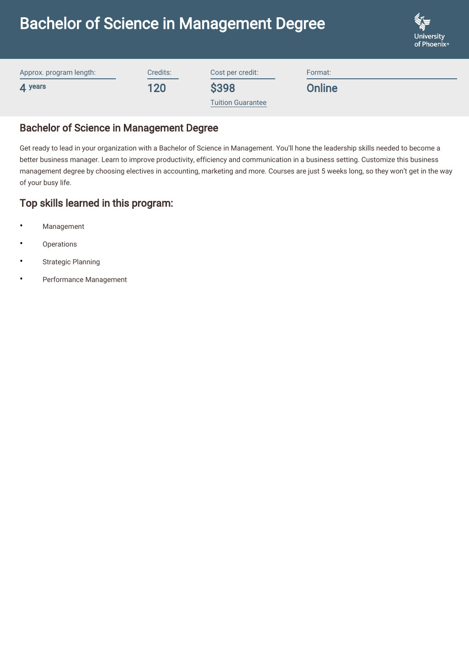# Bachelor of Science in Management Degree



| Approx. program length:      | Credits: | Cost per credit:         | Format:       |  |
|------------------------------|----------|--------------------------|---------------|--|
| $\boldsymbol{\Lambda}$ years | 120      | <b>\$398</b>             | <b>Online</b> |  |
|                              |          | <b>Tuition Guarantee</b> |               |  |

### Bachelor of Science in Management Degree

Get ready to lead in your organization with a Bachelor of Science in Management. You'll hone the leadership skills needed to become a better business manager. Learn to improve productivity, efficiency and communication in a business setting. Customize this business management degree by choosing electives in accounting, marketing and more. Courses are just 5 weeks long, so they won't get in the way of your busy life.

# Top skills learned in this program:

- **Management**
- **Operations**
- Strategic Planning
- Performance Management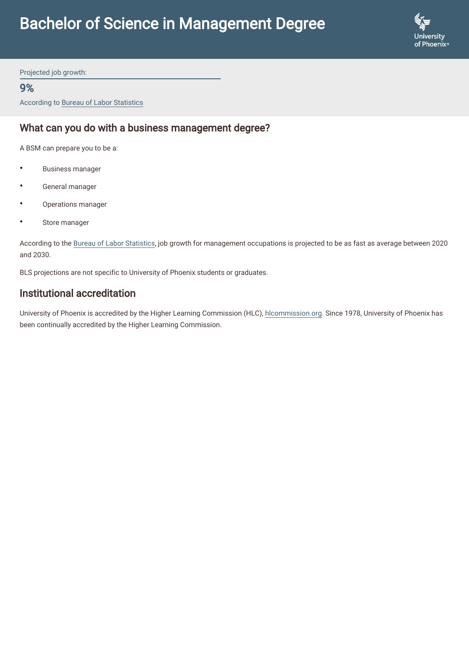

Projected job growth:

#### 9%

According to Bureau of Labor Statistics

## What can you do with a business management degree?

A BSM can prepare you to be a:

- Business manager
- General manager
- Operations manager
- Store manager

According to the [Bureau of Labor Statistics,](https://www.bls.gov/ooh/management/home.htm) job growth for management occupations is projected to be as fast as average between 2020 and 2030.

BLS projections are not specific to University of Phoenix students or graduates.

#### Institutional accreditation

University of Phoenix is accredited by the Higher Learning Commission (HLC), [hlcommission.org](https://www.hlcommission.org/). Since 1978, University of Phoenix has been continually accredited by the Higher Learning Commission.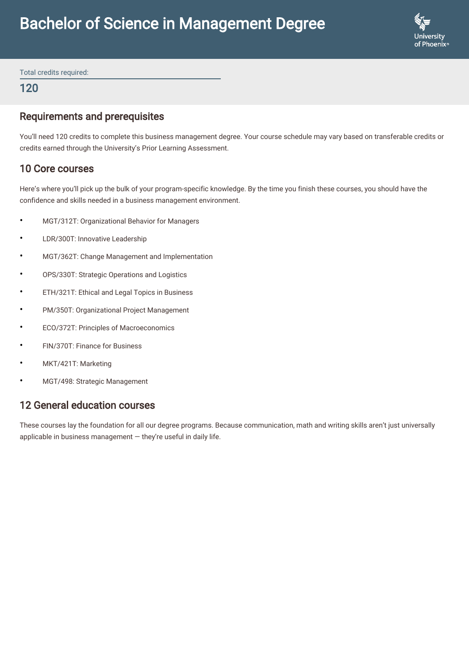

Total credits required:

120

### Requirements and prerequisites

You'll need 120 credits to complete this business management degree. Your course schedule may vary based on transferable credits or credits earned through the University's Prior Learning Assessment.

## 10 Core courses

Here's where you'll pick up the bulk of your program-specific knowledge. By the time you finish these courses, you should have the confidence and skills needed in a business management environment.

- MGT/312T: Organizational Behavior for Managers
- LDR/300T: Innovative Leadership
- MGT/362T: Change Management and Implementation
- OPS/330T: Strategic Operations and Logistics
- ETH/321T: Ethical and Legal Topics in Business
- PM/350T: Organizational Project Management
- ECO/372T: Principles of Macroeconomics
- FIN/370T: Finance for Business
- MKT/421T: Marketing
- MGT/498: Strategic Management

# 12 General education courses

These courses lay the foundation for all our degree programs. Because communication, math and writing skills aren't just universally applicable in business management  $-$  they're useful in daily life.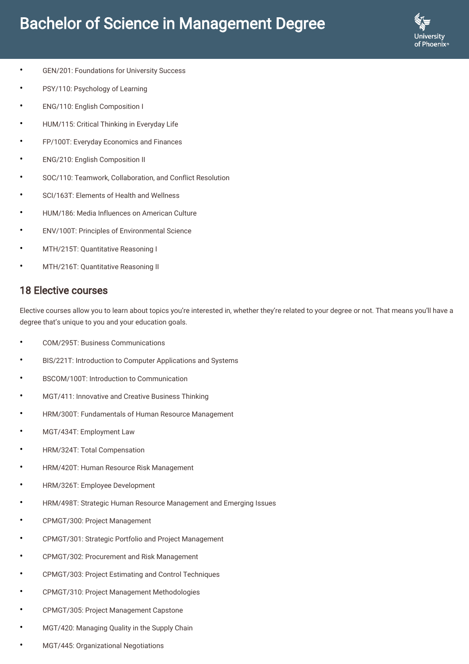# Bachelor of Science in Management Degree



- GEN/201: Foundations for University Success
- PSY/110: Psychology of Learning
- ENG/110: English Composition I
- HUM/115: Critical Thinking in Everyday Life
- FP/100T: Everyday Economics and Finances
- ENG/210: English Composition II
- SOC/110: Teamwork, Collaboration, and Conflict Resolution
- SCI/163T: Elements of Health and Wellness
- HUM/186: Media Influences on American Culture
- ENV/100T: Principles of Environmental Science
- MTH/215T: Quantitative Reasoning I
- MTH/216T: Quantitative Reasoning II

#### 18 Elective courses

Elective courses allow you to learn about topics you're interested in, whether they're related to your degree or not. That means you'll have a degree that's unique to you and your education goals.

- COM/295T: Business Communications
- BIS/221T: Introduction to Computer Applications and Systems
- BSCOM/100T: Introduction to Communication
- MGT/411: Innovative and Creative Business Thinking
- HRM/300T: Fundamentals of Human Resource Management
- MGT/434T: Employment Law
- HRM/324T: Total Compensation
- HRM/420T: Human Resource Risk Management
- HRM/326T: Employee Development
- HRM/498T: Strategic Human Resource Management and Emerging Issues
- CPMGT/300: Project Management
- CPMGT/301: Strategic Portfolio and Project Management
- CPMGT/302: Procurement and Risk Management
- CPMGT/303: Project Estimating and Control Techniques
- CPMGT/310: Project Management Methodologies
- CPMGT/305: Project Management Capstone
- MGT/420: Managing Quality in the Supply Chain
- MGT/445: Organizational Negotiations